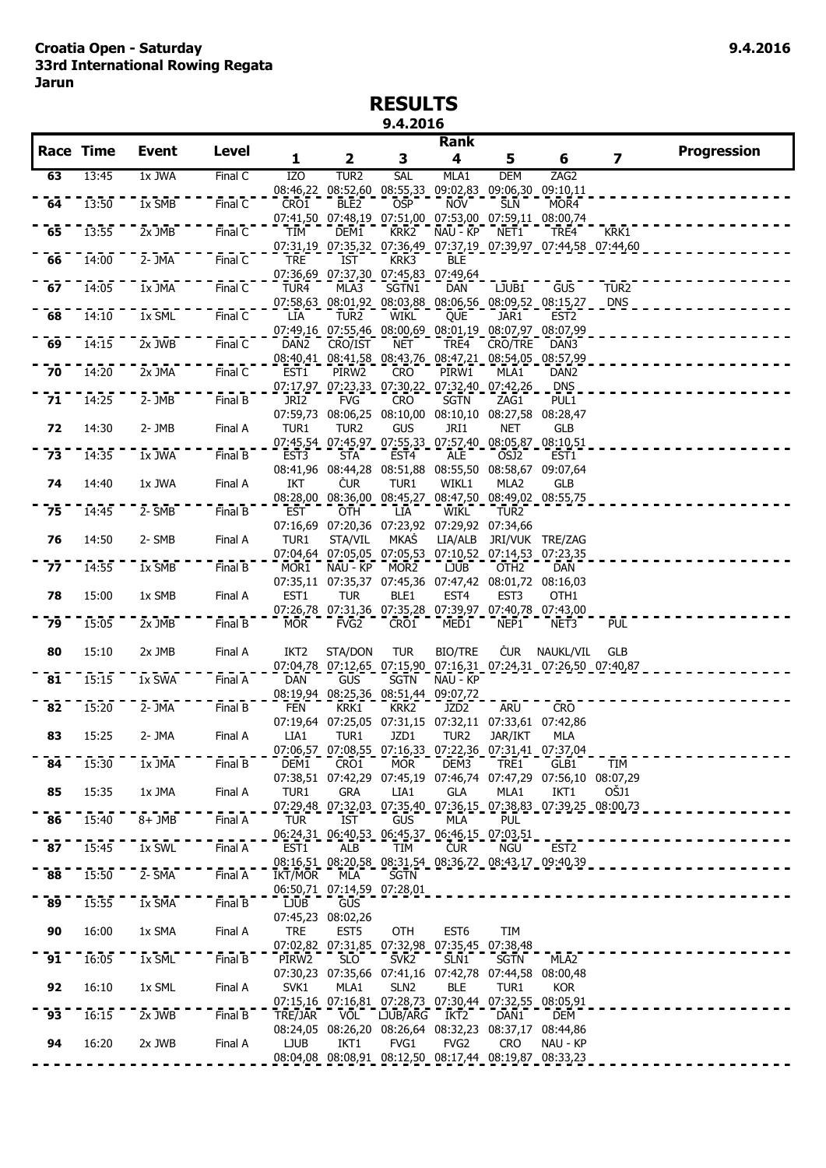## **RESULTS 9.4.2016**

|                 | <b>Race Time</b> |                              |                      |                  |                                                                           |                  | <b>Rank</b>                         |                               |                                                                             |                                |                    |
|-----------------|------------------|------------------------------|----------------------|------------------|---------------------------------------------------------------------------|------------------|-------------------------------------|-------------------------------|-----------------------------------------------------------------------------|--------------------------------|--------------------|
|                 |                  | <b>Event</b>                 | <b>Level</b>         | 1                | $\overline{\mathbf{2}}$                                                   | 3                | 4                                   | 5                             | 6                                                                           | $\overline{\mathbf{z}}$        | <b>Progression</b> |
| 63              | 13:45            | 1x JWA                       | Final C              | IZ <sub>O</sub>  | TUR <sub>2</sub>                                                          | SAL              | MLA1                                | <b>DEM</b>                    | ZAG2                                                                        |                                |                    |
| 64              | 13:50            | 1x SMB                       | Final C              | CRO1             | 08:46,22 08:52,60 08:55,33 09:02,83 09:06,30 09:10,11<br>BLE <sub>2</sub> | <b>OSP</b>       | <b>NOV</b>                          | <b>SLN</b>                    | MOR4                                                                        |                                |                    |
|                 |                  |                              |                      |                  | 07:41,50 07:48,19 07:51,00 07:53,00 07:59,11 08:00,74                     |                  |                                     |                               |                                                                             |                                |                    |
| $-65$           | 13:55            | $2x$ JMB                     | Final $\overline{C}$ | TIM              | DEM1                                                                      | KRK <sub>2</sub> | NAU - KP                            | NET1                          | TRE4<br>07:31,19 07:35,32 07:36,49 07:37,19 07:39,97 07:44,58 07:44,60      | KRK1                           |                    |
| 66              | 14:00            | 2- JMA                       | Final C              | <b>TRE</b>       | IST                                                                       | KRK3             | BLE                                 |                               |                                                                             |                                |                    |
|                 |                  |                              |                      |                  | 07:36,69 07:37,30 07:45,83 07:49,64                                       |                  |                                     |                               |                                                                             |                                |                    |
| 67              | 14:05            | 1x JMA                       | Final C              | TUR4             | MLA3                                                                      | SGTN1            | <b>DAN</b>                          | $\overline{L} \overline{UB1}$ | <b>GUS</b><br>07:58,63 08:01,92 08:03,88 08:06,56 08:09,52 08:15,27         | TUR <sub>2</sub><br><b>DNS</b> |                    |
| 68              | 14:10            | $1x$ $\overline{\text{SML}}$ | Final $\overline{C}$ | LIA              | TUR <sub>2</sub>                                                          | WIKL             | QUE                                 | JAR1                          | EST <sub>2</sub>                                                            |                                |                    |
|                 |                  |                              |                      |                  | 07:49,16 07:55,46 08:00,69 08:01,19 08:07,97 08:07,99                     |                  |                                     |                               |                                                                             |                                |                    |
| $\overline{69}$ | 14:15            | $2x$ JWB                     | Final C              | DAN <sub>2</sub> | CRO/IST<br>08:40,41 08:41,58 08:43,76 08:47,21 08:54,05 08:57,99          | NET              | TRE4                                | CRO/TRE                       | DAN3                                                                        |                                |                    |
| 70              | 14:20            | 2x JMA                       | Final C              | EST1             | PIRW2                                                                     | <b>CRO</b>       | PIRW1                               | MLA1                          | DAN <sub>2</sub>                                                            |                                |                    |
| 71              | 14:25            | $2 - JMB$                    | FinalB               | JRI <sub>2</sub> | 07:17,97 07:23,33 07:30,22 07:32,40 07:42,26<br><b>FVG</b>                | <b>CRO</b>       | <b>SGTN</b>                         | ZAG1                          | <b>DNS</b><br>PUL1                                                          |                                |                    |
|                 |                  |                              |                      | 07:59,73         |                                                                           |                  | 08:06,25 08:10,00 08:10,10 08:27,58 |                               | 08:28,47                                                                    |                                |                    |
| 72              | 14:30            | $2 - JMB$                    | Final A              | TUR1             | TUR2                                                                      | GUS              | JRI1                                | <b>NET</b>                    | GLB                                                                         |                                |                    |
| $\overline{73}$ | 14:35            | $1x$ JWA                     | Final B              | EST3             | 07:45,54 07:45,97 07:55,33 07:57,40 08:05,87 08:10,51<br><b>STA</b>       | EST <sub>4</sub> | ALE                                 | OSJ2                          | EST <sub>1</sub>                                                            |                                |                    |
|                 |                  |                              |                      |                  | 08:41,96 08:44,28 08:51,88 08:55,50 08:58,67 09:07,64                     |                  |                                     |                               |                                                                             |                                |                    |
| 74              | 14:40            | 1x JWA                       | Final A              | IKT              | <b>CUR</b>                                                                | TUR1             | WIKL1                               | MLA <sub>2</sub>              | <b>GLB</b>                                                                  |                                |                    |
| 75              | 14:45            | $2 - 5MB$                    | FinalB               | EST              | 08:28,00 08:36,00 08:45,27 08:47,50 08:49,02 08:55,75<br>OTH              | LIA              | WIKL                                | TUR <sub>2</sub>              |                                                                             |                                |                    |
|                 |                  |                              |                      |                  | 07:16,69 07:20,36 07:23,92 07:29,92 07:34,66                              |                  |                                     |                               |                                                                             |                                |                    |
| 76              | 14:50            | 2- SMB                       | Final A              | TUR1             | STA/VIL                                                                   | MKAŠ             | LIA/ALB                             |                               | JRI/VUK TRE/ZAG                                                             |                                |                    |
| 77              | 14:55            | 1x SMB                       | Final B              | MOR1             | 07:04,64 07:05,05 07:05,53 07:10,52 07:14,53 07:23,35<br>NAU - KP         | MOR <sub>2</sub> | <b>LJUB</b>                         | OTH <sub>2</sub>              | <b>DAN</b>                                                                  |                                |                    |
|                 |                  |                              |                      |                  | 07:35,11 07:35,37 07:45,36 07:47,42 08:01,72 08:16,03                     |                  |                                     |                               |                                                                             |                                |                    |
| 78              | 15:00            | 1x SMB                       | Final A              | EST1             | <b>TUR</b><br>07:26,78 07:31,36 07:35,28 07:39,97 07:40,78 07:43,00       | BLE1             | EST <sub>4</sub>                    | EST <sub>3</sub>              | OTH <sub>1</sub>                                                            |                                |                    |
| 79              | 15:05            | $2x$ JMB                     | FinalB               | <b>MOR</b>       | FVG <sub>2</sub>                                                          | CRO1             | MED1                                | NEP1                          | NET3                                                                        | <b>PUL</b>                     |                    |
|                 |                  |                              |                      |                  |                                                                           |                  |                                     |                               |                                                                             |                                |                    |
| 80              | 15:10            | 2x JMB                       | Final A              | IKT <sub>2</sub> | STA/DON                                                                   | <b>TUR</b>       | <b>BIO/TRE</b>                      | <b>CUR</b>                    | NAUKL/VIL<br>07:04,78 07:12,65 07:15,90 07:16,31 07:24,31 07:26,50 07:40,87 | <b>GLB</b>                     |                    |
| $\overline{81}$ | 15:15            | $1x$ SWA                     | Final A              | DAN              | <b>GUS</b>                                                                | <b>SGTN</b>      | NAU - KP                            |                               |                                                                             |                                |                    |
|                 |                  |                              |                      |                  | 08:19,94 08:25,36 08:51,44 09:07,72                                       |                  |                                     |                               |                                                                             |                                |                    |
| $\overline{82}$ | 15:20            | $2 - \overline{J}$ MA        | Final B              | <b>FEN</b>       | KRK1<br>07:19,64 07:25,05 07:31,15 07:32,11 07:33,61 07:42,86             | KRK <sub>2</sub> | JZD <sub>2</sub>                    | ARU                           | <b>CRO</b>                                                                  |                                |                    |
| 83              | 15:25            | 2- JMA                       | Final A              | LIA1             | TUR1                                                                      | JZD1             | TUR <sub>2</sub>                    | JAR/IKT                       | MLA                                                                         |                                |                    |
|                 | 15:30            | 1x JMA                       | Final B              | DEM1             | 07:06,57 07:08,55 07:16,33 07:22,36 07:31,41 07:37,04<br>CRO1             | <b>MOR</b>       | DEM3                                | TRE1                          | GLB1                                                                        | TIM                            |                    |
| 84              |                  |                              |                      |                  |                                                                           |                  |                                     |                               | 07:38,51 07:42,29 07:45,19 07:46,74 07:47,29 07:56,10 08:07,29              |                                |                    |
| 85              | 15:35            | 1x JMA                       | Final A              | TUR1             | <b>GRA</b>                                                                | LIA1             | <b>GLA</b>                          | MLA1                          | IKT1                                                                        | OŠJ1                           |                    |
| $\overline{86}$ | 15:40            | $8 + \overline{JMB}$         | Final A              | <b>TUR</b>       | IST                                                                       | <b>GUS</b>       | MLA                                 | <b>PUL</b>                    | 07:29,48 07:32,03 07:35,40 07:36,15 07:38,83 07:39,25 08:00,73              |                                |                    |
|                 |                  |                              |                      |                  | 06:24,31 06:40,53 06:45,37 06:46,15 07:03,51                              |                  |                                     |                               |                                                                             |                                |                    |
| $\overline{87}$ | 15:45            | 1x SWL                       | Final A              | EST1             | ALB                                                                       | TIM              | <b>CUR</b>                          | NGU                           | EST <sub>2</sub>                                                            |                                |                    |
| 88              | 15:50            | $2 - SMA$                    | FinalA               | IKT/MOR          | 08:16,51 08:20,58 08:31,54 08:36,72 08:43,17 09:40,39<br>MLA              | <b>SGTN</b>      |                                     |                               |                                                                             |                                |                    |
|                 |                  |                              |                      |                  | 06:50,71 07:14,59 07:28,01                                                |                  |                                     |                               |                                                                             |                                |                    |
| 89              | 15:55            | $1x$ $\overline{S}$ MA       | Final B              | <b>LJUB</b>      | GUS<br>07:45,23 08:02,26                                                  |                  |                                     |                               |                                                                             |                                |                    |
| 90              | 16:00            | 1x SMA                       | Final A              | <b>TRE</b>       | EST <sub>5</sub>                                                          | OTH              | EST <sub>6</sub>                    | TIM                           |                                                                             |                                |                    |
|                 |                  |                              |                      |                  | 07:02,82 07:31,85 07:32,98 07:35,45 07:38,48                              |                  |                                     |                               |                                                                             |                                |                    |
| 91              | 16:05            | 1x SML                       | Final B              | PIRW2            | <b>SLO</b><br>07:30,23 07:35,66 07:41,16 07:42,78 07:44,58 08:00,48       | SVK <sub>2</sub> | SLN1                                | SGTN                          | MLA2                                                                        |                                |                    |
| 92              | 16:10            | 1x SML                       | Final A              | SVK1             | MLA1                                                                      | SLN <sub>2</sub> | <b>BLE</b>                          | TUR1                          | <b>KOR</b>                                                                  |                                |                    |
|                 |                  |                              |                      |                  | 07:15,16 07:16,81 07:28,73 07:30,44 07:32,55 08:05,91                     |                  |                                     |                               |                                                                             |                                |                    |
| 93              | 16:15            | 2x JWB                       | Final B              | TRE/JAR          | <b>VOL</b><br>08:24,05 08:26,20 08:26,64 08:32,23 08:37,17 08:44,86       | LJUB/ARG         | IKT2                                | DAN <sub>1</sub>              | <b>DEM</b>                                                                  |                                |                    |
| 94              | 16:20            | 2x JWB                       | Final A              | <b>LJUB</b>      | IKT1                                                                      | FVG1             | FVG <sub>2</sub>                    | <b>CRO</b>                    | NAU - KP                                                                    |                                |                    |
|                 |                  |                              |                      |                  | 08:04,08 08:08,91 08:12,50 08:17,44 08:19,87 08:33,23                     |                  |                                     |                               |                                                                             |                                |                    |